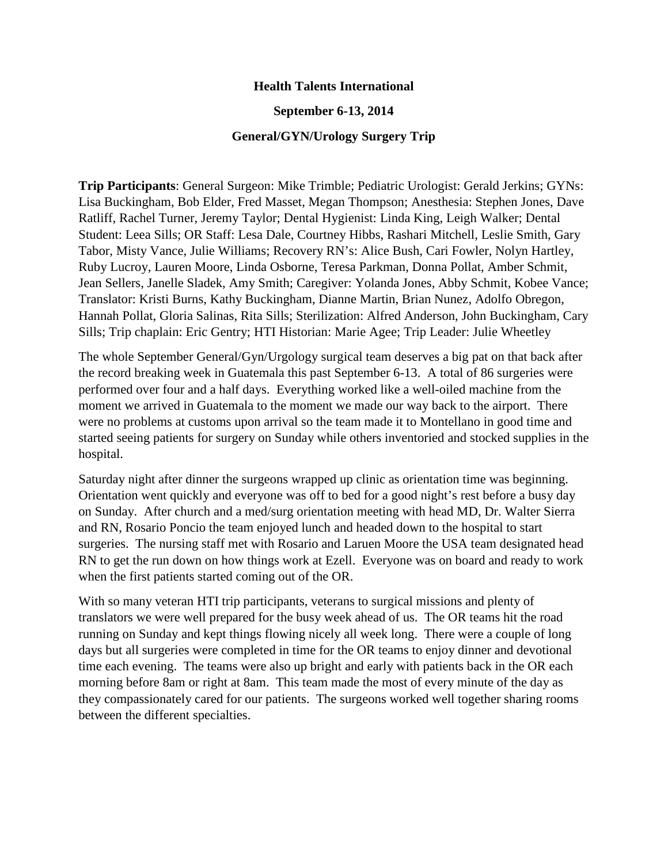## **Health Talents International**

## **September 6-13, 2014**

## **General/GYN/Urology Surgery Trip**

**Trip Participants**: General Surgeon: Mike Trimble; Pediatric Urologist: Gerald Jerkins; GYNs: Lisa Buckingham, Bob Elder, Fred Masset, Megan Thompson; Anesthesia: Stephen Jones, Dave Ratliff, Rachel Turner, Jeremy Taylor; Dental Hygienist: Linda King, Leigh Walker; Dental Student: Leea Sills; OR Staff: Lesa Dale, Courtney Hibbs, Rashari Mitchell, Leslie Smith, Gary Tabor, Misty Vance, Julie Williams; Recovery RN's: Alice Bush, Cari Fowler, Nolyn Hartley, Ruby Lucroy, Lauren Moore, Linda Osborne, Teresa Parkman, Donna Pollat, Amber Schmit, Jean Sellers, Janelle Sladek, Amy Smith; Caregiver: Yolanda Jones, Abby Schmit, Kobee Vance; Translator: Kristi Burns, Kathy Buckingham, Dianne Martin, Brian Nunez, Adolfo Obregon, Hannah Pollat, Gloria Salinas, Rita Sills; Sterilization: Alfred Anderson, John Buckingham, Cary Sills; Trip chaplain: Eric Gentry; HTI Historian: Marie Agee; Trip Leader: Julie Wheetley

The whole September General/Gyn/Urgology surgical team deserves a big pat on that back after the record breaking week in Guatemala this past September 6-13. A total of 86 surgeries were performed over four and a half days. Everything worked like a well-oiled machine from the moment we arrived in Guatemala to the moment we made our way back to the airport. There were no problems at customs upon arrival so the team made it to Montellano in good time and started seeing patients for surgery on Sunday while others inventoried and stocked supplies in the hospital.

Saturday night after dinner the surgeons wrapped up clinic as orientation time was beginning. Orientation went quickly and everyone was off to bed for a good night's rest before a busy day on Sunday. After church and a med/surg orientation meeting with head MD, Dr. Walter Sierra and RN, Rosario Poncio the team enjoyed lunch and headed down to the hospital to start surgeries. The nursing staff met with Rosario and Laruen Moore the USA team designated head RN to get the run down on how things work at Ezell. Everyone was on board and ready to work when the first patients started coming out of the OR.

With so many veteran HTI trip participants, veterans to surgical missions and plenty of translators we were well prepared for the busy week ahead of us. The OR teams hit the road running on Sunday and kept things flowing nicely all week long. There were a couple of long days but all surgeries were completed in time for the OR teams to enjoy dinner and devotional time each evening. The teams were also up bright and early with patients back in the OR each morning before 8am or right at 8am. This team made the most of every minute of the day as they compassionately cared for our patients. The surgeons worked well together sharing rooms between the different specialties.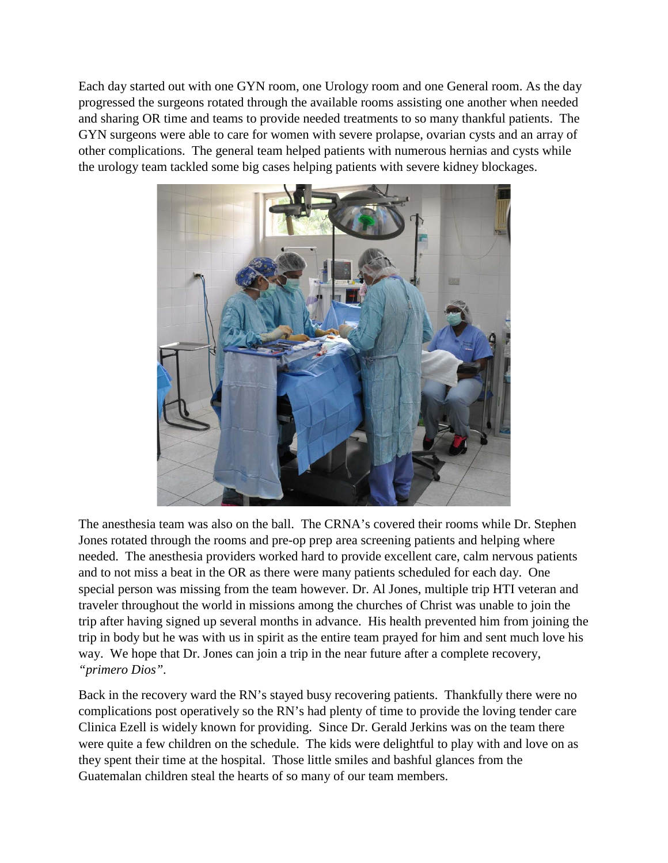Each day started out with one GYN room, one Urology room and one General room. As the day progressed the surgeons rotated through the available rooms assisting one another when needed and sharing OR time and teams to provide needed treatments to so many thankful patients. The GYN surgeons were able to care for women with severe prolapse, ovarian cysts and an array of other complications. The general team helped patients with numerous hernias and cysts while the urology team tackled some big cases helping patients with severe kidney blockages.



The anesthesia team was also on the ball. The CRNA's covered their rooms while Dr. Stephen Jones rotated through the rooms and pre-op prep area screening patients and helping where needed. The anesthesia providers worked hard to provide excellent care, calm nervous patients and to not miss a beat in the OR as there were many patients scheduled for each day. One special person was missing from the team however. Dr. Al Jones, multiple trip HTI veteran and traveler throughout the world in missions among the churches of Christ was unable to join the trip after having signed up several months in advance. His health prevented him from joining the trip in body but he was with us in spirit as the entire team prayed for him and sent much love his way. We hope that Dr. Jones can join a trip in the near future after a complete recovery, *"primero Dios".*

Back in the recovery ward the RN's stayed busy recovering patients. Thankfully there were no complications post operatively so the RN's had plenty of time to provide the loving tender care Clinica Ezell is widely known for providing. Since Dr. Gerald Jerkins was on the team there were quite a few children on the schedule. The kids were delightful to play with and love on as they spent their time at the hospital. Those little smiles and bashful glances from the Guatemalan children steal the hearts of so many of our team members.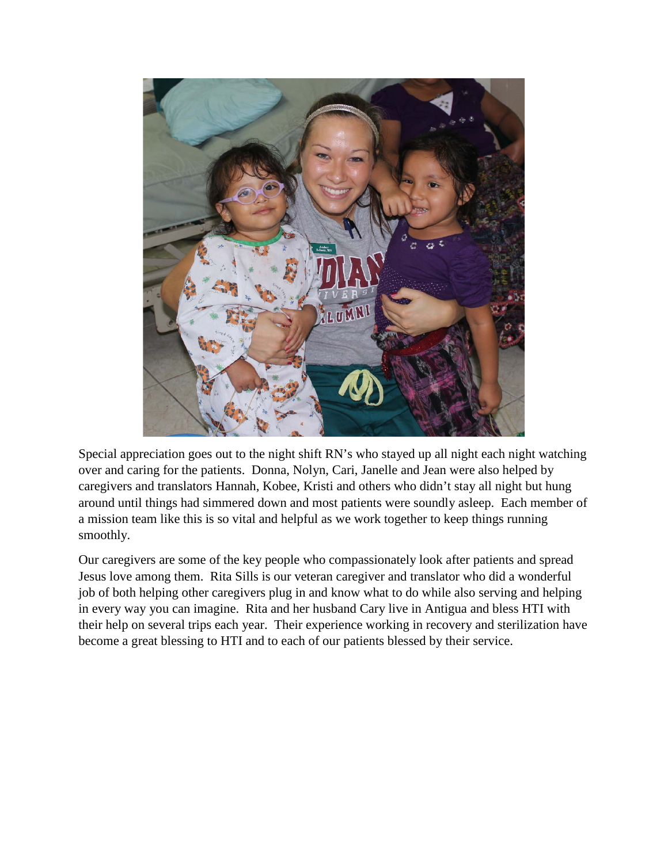

Special appreciation goes out to the night shift RN's who stayed up all night each night watching over and caring for the patients. Donna, Nolyn, Cari, Janelle and Jean were also helped by caregivers and translators Hannah, Kobee, Kristi and others who didn't stay all night but hung around until things had simmered down and most patients were soundly asleep. Each member of a mission team like this is so vital and helpful as we work together to keep things running smoothly.

Our caregivers are some of the key people who compassionately look after patients and spread Jesus love among them. Rita Sills is our veteran caregiver and translator who did a wonderful job of both helping other caregivers plug in and know what to do while also serving and helping in every way you can imagine. Rita and her husband Cary live in Antigua and bless HTI with their help on several trips each year. Their experience working in recovery and sterilization have become a great blessing to HTI and to each of our patients blessed by their service.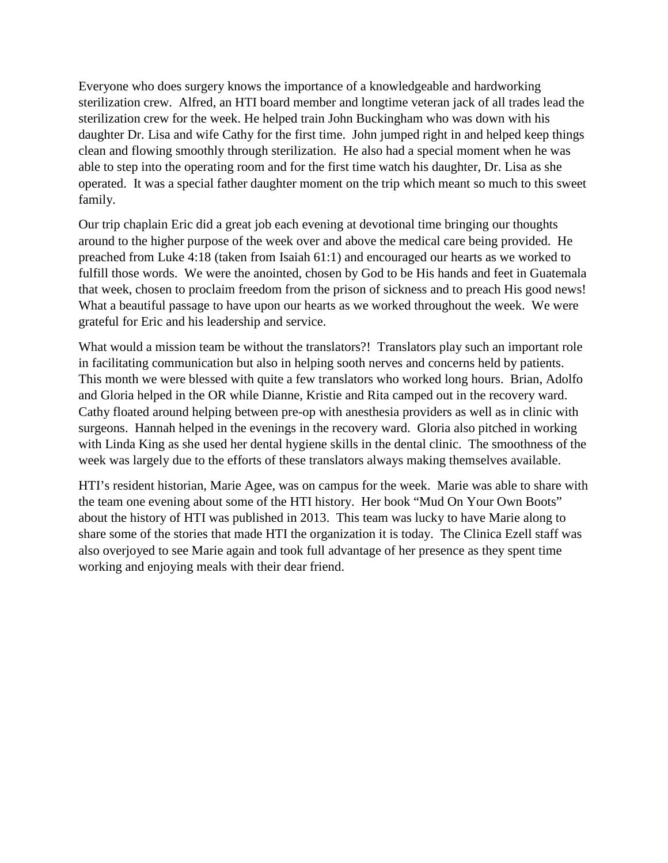Everyone who does surgery knows the importance of a knowledgeable and hardworking sterilization crew. Alfred, an HTI board member and longtime veteran jack of all trades lead the sterilization crew for the week. He helped train John Buckingham who was down with his daughter Dr. Lisa and wife Cathy for the first time. John jumped right in and helped keep things clean and flowing smoothly through sterilization. He also had a special moment when he was able to step into the operating room and for the first time watch his daughter, Dr. Lisa as she operated. It was a special father daughter moment on the trip which meant so much to this sweet family.

Our trip chaplain Eric did a great job each evening at devotional time bringing our thoughts around to the higher purpose of the week over and above the medical care being provided. He preached from Luke 4:18 (taken from Isaiah 61:1) and encouraged our hearts as we worked to fulfill those words. We were the anointed, chosen by God to be His hands and feet in Guatemala that week, chosen to proclaim freedom from the prison of sickness and to preach His good news! What a beautiful passage to have upon our hearts as we worked throughout the week. We were grateful for Eric and his leadership and service.

What would a mission team be without the translators?! Translators play such an important role in facilitating communication but also in helping sooth nerves and concerns held by patients. This month we were blessed with quite a few translators who worked long hours. Brian, Adolfo and Gloria helped in the OR while Dianne, Kristie and Rita camped out in the recovery ward. Cathy floated around helping between pre-op with anesthesia providers as well as in clinic with surgeons. Hannah helped in the evenings in the recovery ward. Gloria also pitched in working with Linda King as she used her dental hygiene skills in the dental clinic. The smoothness of the week was largely due to the efforts of these translators always making themselves available.

HTI's resident historian, Marie Agee, was on campus for the week. Marie was able to share with the team one evening about some of the HTI history. Her book "Mud On Your Own Boots" about the history of HTI was published in 2013. This team was lucky to have Marie along to share some of the stories that made HTI the organization it is today. The Clinica Ezell staff was also overjoyed to see Marie again and took full advantage of her presence as they spent time working and enjoying meals with their dear friend.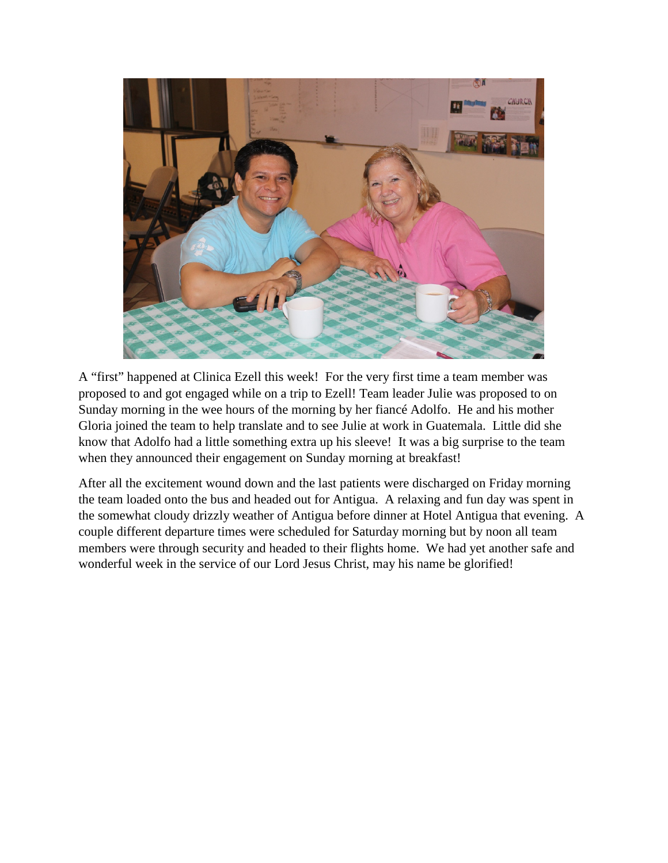

A "first" happened at Clinica Ezell this week! For the very first time a team member was proposed to and got engaged while on a trip to Ezell! Team leader Julie was proposed to on Sunday morning in the wee hours of the morning by her fiancé Adolfo. He and his mother Gloria joined the team to help translate and to see Julie at work in Guatemala. Little did she know that Adolfo had a little something extra up his sleeve! It was a big surprise to the team when they announced their engagement on Sunday morning at breakfast!

After all the excitement wound down and the last patients were discharged on Friday morning the team loaded onto the bus and headed out for Antigua. A relaxing and fun day was spent in the somewhat cloudy drizzly weather of Antigua before dinner at Hotel Antigua that evening. A couple different departure times were scheduled for Saturday morning but by noon all team members were through security and headed to their flights home. We had yet another safe and wonderful week in the service of our Lord Jesus Christ, may his name be glorified!